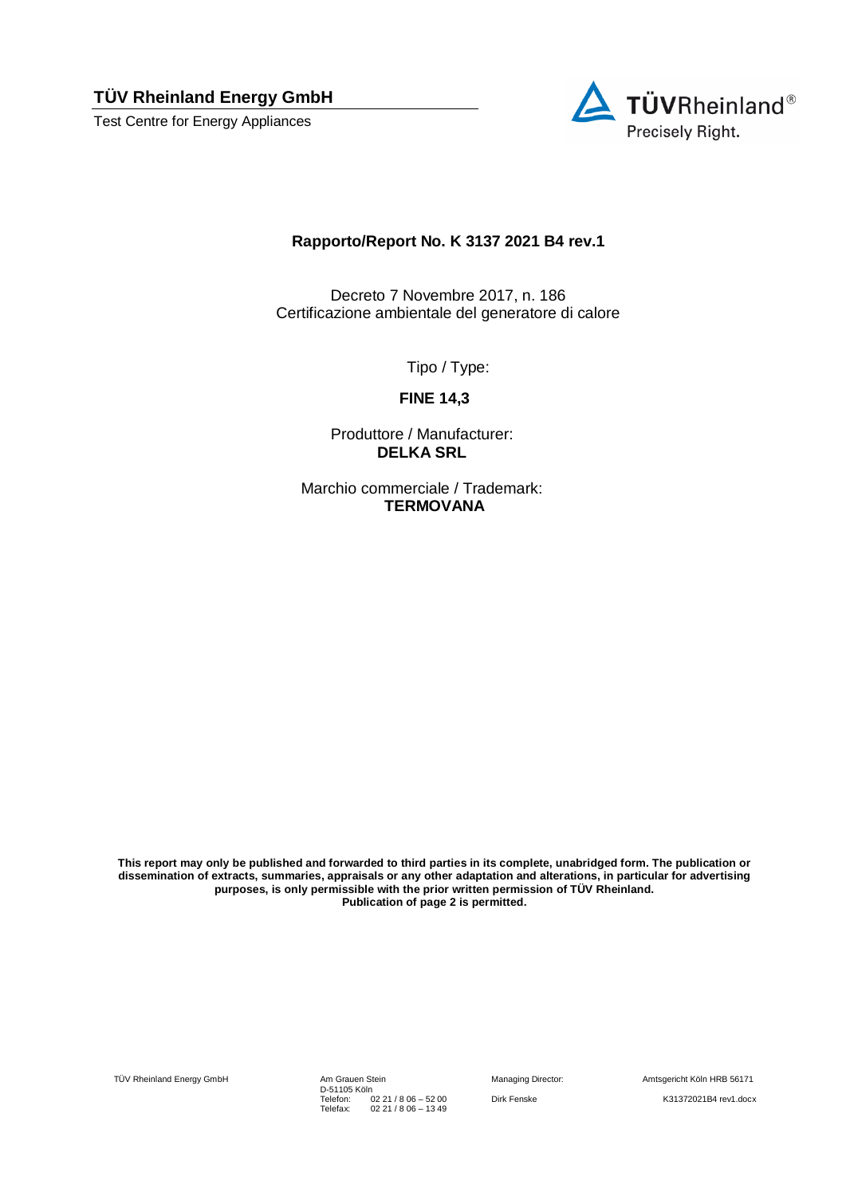**TÜV Rheinland Energy GmbH** 

Test Centre for Energy Appliances



#### **Rapporto/Report No. K 3137 2021 B4 rev.1**

Decreto 7 Novembre 2017, n. 186 Certificazione ambientale del generatore di calore

Tipo / Type:

**FINE 14,3**

Produttore / Manufacturer: **DELKA SRL**

Marchio commerciale / Trademark: **TERMOVANA**

**This report may only be published and forwarded to third parties in its complete, unabridged form. The publication or dissemination of extracts, summaries, appraisals or any other adaptation and alterations, in particular for advertising purposes, is only permissible with the prior written permission of TÜV Rheinland. Publication of page 2 is permitted.**

TÜV Rheinland Energy GmbH

Am Grauen Stein<br>D-51105 Köln Telefon: Telefax: 02 21 / 8 06 – 52 00 02 21 / 8 06 – 13 49

Managing Director: Amtsgericht Köln HRB 56171 Dirk Fenske K31372021B4 rev1.docx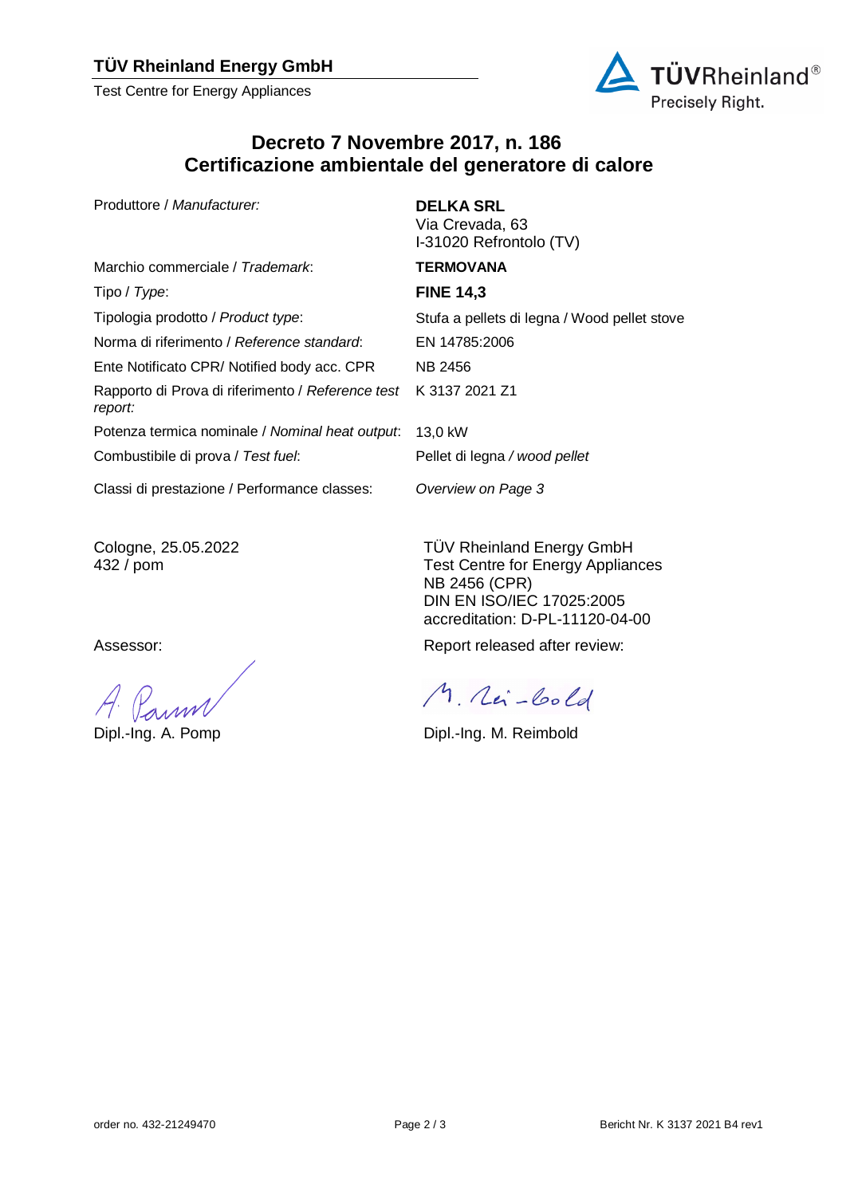### **TÜV Rheinland Energy GmbH**

Test Centre for Energy Appliances



# **Decreto 7 Novembre 2017, n. 186 Certificazione ambientale del generatore di calore**

Produttore / *Manufacturer:* **DELKA SRL**

Marchio commerciale / *Trademark*: **TERMOVANA** Tipo / *Type*: **FINE 14,3** Tipologia prodotto / *Product type*: Stufa a pellets di legna / Wood pellet stove Norma di riferimento / *Reference standard*: EN 14785:2006 Ente Notificato CPR/ Notified body acc. CPR NB 2456 Rapporto di Prova di riferimento / *Reference test report:* Potenza termica nominale / *Nominal heat output*: 13,0 kW Combustibile di prova / *Test fuel*:

Via Crevada, 63 I-31020 Refrontolo (TV)

K 3137 2021 Z1

Pellet di legna */ wood pellet*

*Overview on Page 3*

Classi di prestazione / Performance classes:

Cologne, 25.05.2022 432 / pom

TÜV Rheinland Energy GmbH Test Centre for Energy Appliances NB 2456 (CPR) DIN EN ISO/IEC 17025:2005

accreditation: D-PL-11120-04-00

Assessor: Assessor: Assessor: Report released after review:

M. Rei-Cold

Dipl.-Ing. A. Pomp Dipl.-Ing. M. Reimbold